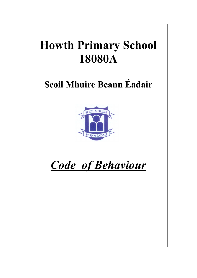# **Howth Primary School 18080A**

## **Scoil Mhuire Beann Éadair**



## *Code of Behaviour*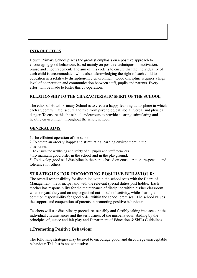#### **INTRODUCTION**

Howth Primary School places the greatest emphasis on a positive approach to encouraging good behaviour, based mainly on positive techniques of motivation, praise and encouragement. The aim of this code is to ensure that the individuality of each child is accommodated while also acknowledging the right of each child to education in a relatively disruption-free environment. Good discipline requires a high level of cooperation and communication between staff, pupils and parents. Every effort will be made to foster this co-operation.

#### **RELATIONSHIP TO THE CHARACTERISTIC SPIRIT OF THE SCHOOL**

The ethos of Howth Primary School is to create a happy learning atmosphere in which each student will feel secure and free from psychological, social, verbal and physical danger. To ensure this the school endeavours to provide a caring, stimulating and healthy environment throughout the whole school.

#### **GENERALAIMS**

1.The efficient operation of the school.

2.To create an orderly, happy and stimulating learning environment in the classroom.

3.To ensure the wellbeing and safety of all pupils and staff members'.

4.To maintain good order in the school and in the playground.

5. To develop good self-discipline in the pupils based on consideration, respect and tolerance for others.

## **STRATEGIES FOR PROMOTING POSITIVE BEHAVIOUR:**

The overall responsibility for discipline within the school rests with the Board of Management, the Principal and with the relevant special duties post holder. Each teacher has responsibility for the maintenance of discipline within his/her classroom, when on yard duty and on any organised out-of-school activity, while sharing a common responsibility for good order within the school premises. The school values the support and cooperation of parents in promoting positive behaviour.

Teachers will use disciplinary procedures sensibly and flexibly taking into account the individual circumstances and the seriousness of the misbehaviour, abiding by the principles of justice and fair play and Department of Education & Skills Guidelines.

## **1.Promoting Positive Behaviour**

The following strategies may be used to encourage good, and discourage unacceptable behaviour. This list is not exhaustive.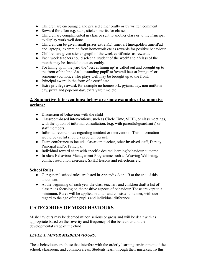- Children are encouraged and praised either orally or by written comment
- Reward for effort e.g. stars, sticker, merits for classes
- Children are complimented in class or sent to another class or to the Principal to display work well done.
- Children can be given small prizes, extra P.E. time, art time, golden time, iPad and laptops, exemption from homework etc as rewards for positive behaviour
- Children are given stickers,pupil of the week certificates as rewards.
- Each week teachers could select a 'student of the week' and a 'class of the month' may be handed out at assembly.
- For lining up in the yard the 'best at lining up' is called out and brought up to the front of the line. An 'outstanding pupil' or 'overall best at lining up' or someone you notice who plays well may be brought up to the front.
- Principal award in the form of a certificate.
- Extra privilege award, for example no homework, pyjama day, non uniform day, pizza and popcorn day, extra yard time etc

## **2. Supportive Interventions: below are some examples of supportive actions:**

- Discussion of behaviour with the child
- Classroom-based interventions, such as Circle Time, SPHE, or class meetings, with the option of informal consultation, (e.g. with parent(s)/guardian(s) or staff members)
- Informal record notes regarding incident or intervention. This information would be useful should a problem persist.
- Team conference to include classroom teacher, other involved staff, Deputy Principal and/or Principal.
- Individual reward chart with specific desired learning/behaviour outcome
- In-class Behaviour Management Programme such as Weaving Wellbeing, conflict resolution exercises, SPHE lessons and reflections etc.

#### **School Rules**

- Our general school rules are listed in Appendix A and B at the end of this document.
- At the beginning of each year the class teachers and children draft a list of class rules focusing on the positive aspects of behaviour. These are kept to a minimum. Rules will be applied in a fair and consistent manner, with due regard to the age of the pupils and individual difference.

## **CATEGORIES OF MISBEHAVIOURS**

Misbehaviours may be deemed minor, serious or gross and will be dealt with as appropriate based on the severity and frequency of the behaviour and the developmental stage of the child.

#### *LEVEL 1: MINOR MISBEHAVIOURS:*

These behaviours are those that interfere with the orderly learning environment of the school, classroom, and common areas. Students learn through their mistakes. To this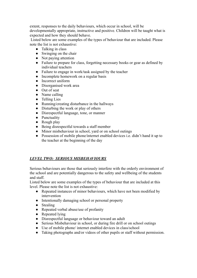extent, responses to the daily behaviours, which occur in school, will be developmentally appropriate, instructive and positive. Children will be taught what is expected and how they should behave.

Listed below are some examples of the types of behaviour that are included. Please note the list is not exhaustive:

- Talking in class
- Swinging on the chair
- Not paying attention
- Failure to prepare for class, forgetting necessary books or gear as defined by individual teachers
- Failure to engage in work/task assigned by the teacher
- Incomplete homework on a regular basis
- Incorrect uniform
- Disorganised work area
- Out of seat
- Name calling
- Telling Lies
- Running/creating disturbance in the hallways
- Disturbing the work or play of others
- Disrespectful language, tone, or manner
- Punctuality
- Rough play
- Being disrespectful towards a staff member
- Minor misbehaviour in school, yard or on school outings
- Possession of mobile phone/internet enabled devices i.e. didn't hand it up to the teacher at the beginning of the day

## *LEVEL TWO: SERIOUS MISBEHAVIOURS*

Serious behaviours are those that seriously interfere with the orderly environment of the school and are potentially dangerous to the safety and wellbeing of the students and staff.

Listed below are some examples of the types of behaviour that are included at this level. Please note the list is not exhaustive:

- Repeated instances of minor behaviours, which have not been modified by intervention
- Intentionally damaging school or personal property
- Stealing
- Repeated verbal abuse/use of profanity
- Repeated lying
- Disrespectful language or behaviour toward an adult
- Serious Misbehaviour in school, or during fire drill or on school outings
- Use of mobile phone/ internet enabled devices in class/school
- Taking photographs and/or videos of other pupils or staff without permission.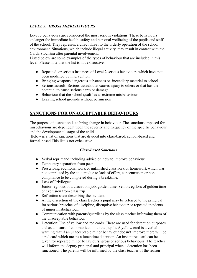## *LEVEL 3: GROSS MISBEHAVIOURS*

Level 3 behaviours are considered the most serious violations. These behaviours endanger the immediate health, safety and personal wellbeing of the pupils and staff of the school. They represent a direct threat to the orderly operation of the school environment. Situations, which include illegal activity, may result in contact with the Garda Síochána after parental involvement.

Listed below are some examples of the types of behaviour that are included in this level. Please note that the list is not exhaustive.

- Repeated or serious instances of Level 2 serious behaviours which have not been modified by intervention
- Bringing weapons,dangerous substances or incendiary material to school
- Serious assault:-Serious assault that causes injury to others or that has the potential to cause serious harm or damage.
- Behaviour that the school qualifies as extreme misbehaviour
- Leaving school grounds without permission

## **SANCTIONS FOR UNACCEPTABLE BEHAVIOURS**

The purpose of a sanction is to bring change in behaviour. The sanctions imposed for misbehaviour are dependent upon the severity and frequency of the specific behaviour and the developmental stage of the child.

Below is a list of sanctions that are divided into class-based, school-based and formal-based.This list is not exhaustive.

#### *Class-Based Sanctions*

- Verbal reprimand including advice on how to improve behaviour
- Temporary separation from peers
- Prescribing additional work or unfinished classwork or homework which was not completed by the student due to lack of effort, concentration or non compliance to be completed during a breaktime.
- Loss of Privileges: Junior: eg. loss of a classroom job, golden time Senior: eg.loss of golden time or exclusion from class trip
- Reflection sheet describing the incident
- At the discretion of the class teacher a pupil may be referred to the principal for serious breaches of discipline, disruptive behaviour or repeated incidents of minor misbehaviour.
- Communication with parents/guardians by the class teacher informing them of the unacceptable behaviour
- Detention: Use of yellow and red cards. These are used for detention purposes and as a means of communication to the pupils. A yellow card is a verbal warning that if an unacceptable minor behaviour doesn't improve there will be a red card which means a lunchtime detention. An instant red card can be given for repeated minor behaviours, gross or serious behaviours. The teacher will inform the deputy principal and principal when a detention has been sanctioned. The parents will be informed by the class teacher of the reason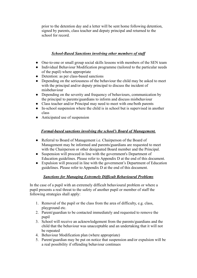prior to the detention day and a letter will be sent home following detention, signed by parents, class teacher and deputy principal and returned to the school for record.

#### *School-Based Sanctions involving other members of staff*

- One-to-one or small group social skills lessons with members of the SEN team
- Individual Behaviour Modification programme (tailored to the particular needs of the pupil) where appropriate
- Detention: as per class-based sanctions
- Depending on the seriousness of the behaviour the child may be asked to meet with the principal and/or deputy principal to discuss the incident of misbehaviour
- Depending on the severity and frequency of behaviours, communication by the principal to parents/guardians to inform and discuss misbehaviour
- Class teacher and/or Principal may need to meet with one/both parents
- In-school suspension where the child is in school but is supervised in another class
- Anticipated use of suspension

## *Formal-based sanctions involving the school's Board of Management.*

- Referral to Board of Management i.e. Chairperson of the Board of Management may be informed and parents/guardians are requested to meet with the Chairperson or other designated Board member and the Principal.
- Suspension will proceed in line with the government's Department of Education guidelines. Please refer to Appendix D at the end of this document.
- Expulsion will proceed in line with the government's Department of Education guidelines. Please refer to Appendix D at the end of this document.

## *Sanctions for Managing Extremely Difficult Behavioural Problems*

In the case of a pupil with an extremely difficult behavioural problem or where a pupil presents a real threat to the safety of another pupil or member of staff the following strategies shall apply:

- 1. Removal of the pupil or the class from the area of difficulty, e.g. class, playground etc.
- 2. Parent/guardian to be contacted immediately and requested to remove the pupil
- 3. School will receive an acknowledgement from the parents/guardians and the child that the behaviour was unacceptable and an undertaking that it will not be repeated
- 4. Behaviour Modification plan (where appropriate)
- 5. Parent/guardian may be put on notice that suspension and/or expulsion will be a real possibility if offending behaviour continues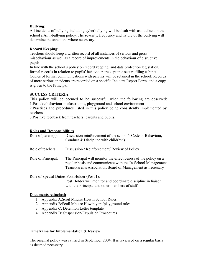#### **Bullying:**

All incidents of bullying including cyberbullying will be dealt with as outlined in the school's Anti-bullying policy. The severity, frequency and nature of the bullying will determine the sanctions where necessary.

#### **Record Keeping:**

Teachers should keep a written record of all instances of serious and gross misbehaviour as well as a record of improvements in the behaviour of disruptive pupils.

In line with the school's policy on record keeping, and data protection legislation, formal records in relation to pupils' behaviour are kept in a secure filing cabinet. Copies of formal communications with parents will be retained in the school. Records of more serious incidents are recorded on a specific Incident Report Form and a copy is given to the Principal.

#### **SUCCESS CRITERIA**

This policy will be deemed to be successful when the following are observed: 1.Positive behaviour in classrooms, playground and school environment

2.Practices and procedures listed in this policy being consistently implemented by teachers

3.Positive feedback from teachers, parents and pupils.

#### **Roles and Responsibilities**

| Role of parent $(s)$ : | Discussion reinforcement of the school's Code of Behaviour,<br>Conduct $& Discipline with child (ren)$                                                                                      |
|------------------------|---------------------------------------------------------------------------------------------------------------------------------------------------------------------------------------------|
| Role of teachers:      | Discussion / Reinforcement/ Review of Policy                                                                                                                                                |
| Role of Principal:     | The Principal will monitor the effectiveness of the policy on a<br>regular basis and communicate with the In-School Management<br>Team/Parents Association/Board of Management as necessary |
|                        |                                                                                                                                                                                             |

Role of Special Duties Post Holder (Post 1):

Post Holder will monitor and coordinate discipline in liaison with the Principal and other members of staff

#### **Documents Attached:**

- 1. Appendix A:Scoil Mhuire Howth School Rules
- 2. Appendix B:Scoil Mhuire Howth yard/playground rules.
- 3. Appendix C: Detention Letter template
- 4. Appendix D: Suspension/Expulsion Procedures

#### **Timeframe for Implementation & Review**

The original policy was ratified in September 2004. It is reviewed on a regular basis as deemed necessary.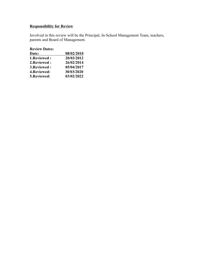## **Responsibility for Review**

Involved in this review will be the Principal, In-School Management Team, teachers, parents and Board of Management.

| 08/02/2010 |
|------------|
| 20/03/2012 |
| 26/02/2014 |
| 05/04/2017 |
| 30/03/2020 |
| 03/02/2022 |
|            |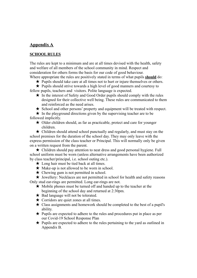## **Appendix A**

#### **SCHOOL RULES**

The rules are kept to a minimum and are at all times devised with the health, safety and welfare of all members of the school community in mind. Respect and consideration for others forms the basis for our code of good behaviour.

Where appropriate the rules are positively stated in terms of what pupils **should** do:

★ Pupils should take care at all times not to hurt or injure themselves or others.

★ Pupils should strive towards a high level of good manners and courtesy to fellow pupils, teachers and visitors. Polite language is expected.

- ★ In the interest of Safety and Good Order pupils should comply with the rules designed for their collective well being. These rules are communicated to them and reinforced as the need arises.
- ★ School and other persons' property and equipment will be treated with respect.

 $\star$  In the playground directions given by the supervising teacher are to be followed implicitly.

★ Older children should, as far as practicable, protect and care for younger children.

 $\star$  Children should attend school punctually and regularly, and must stay on the school premises for the duration of the school day. They may only leave with the express permission of the class teacher or Principal. This will normally only be given on a written request from the parent.

★ Children should pay attention to neat dress and good personal hygiene. Full school uniform must be worn (unless alternative arrangements have been authorized by class teacher/principal, i.e. school outing etc.).

- $\star$  Long hair must be tied back at all times.
- $\star$  Make-up is not allowed to be worn in school.
- $\star$  Chewing gum is not permitted in school.

 $\star$  Jewellery: Necklaces are not permitted in school for health and safety reasons Only stud ear-rings are permitted. Long ear-rings are not.

- ★ Mobile phones must be turned off and handed up to the teacher at the beginning of the school day and returned at 2:30pm.
- ★ Bad language will not be tolerated.
- $\star$  Corridors are quiet zones at all times.
- $\star$  Class assignments and homework should be completed to the best of a pupil's ability.
- ★ Pupils are expected to adhere to the rules and procedures put in place as per our Covid-19 School Response Plan
- $\star$  Pupils are expected to adhere to the rules pertaining to the vard as outlined in Appendix B.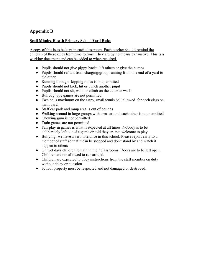## **Appendix B**

#### **Scoil Mhuire Howth Primary School Yard Rules**

A copy of this is to be kept in each classroom. Each teacher should remind the children of these rules from time to time. They are by no means exhaustive. This is a working document and can be added to when required.

- Pupils should not give piggy-backs, lift others or give the bumps.
- Pupils should refrain from charging/group running from one end of a yard to the other.
- Running through skipping ropes is not permitted
- Pupils should not kick, hit or punch another pupil
- Pupils should not sit, walk or climb on the exterior walls
- Bulldog type games are not permitted.
- Two balls maximum on the astro, small tennis ball allowed for each class on main yard.
- Staff car park and ramp area is out of bounds
- Walking around in large groups with arms around each other is not permitted
- Chewing gum is not permitted
- Train games are not permitted
- Fair play in games is what is expected at all times. Nobody is to be deliberately left out of a game or told they are not welcome to play.
- Bullying- we have a zero tolerance in this school. Please report early to a member of staff so that it can be stopped and don't stand by and watch it happen to others
- On wet days children remain in their classrooms. Doors are to be left open. Children are not allowed to run around.
- Children are expected to obey instructions from the staff member on duty without delay or question
- School property must be respected and not damaged or destroyed.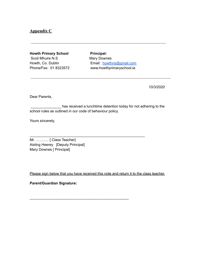#### **Appendix C**

**Howth Primary School Principal:** Scoil Mhuire N.S Mary Downes

Howth, Co. Dublin Email: [howthns@gmail.com](mailto:howthns@gmail.com) Phone/Fax: 01 8323572 www.howthprimaryschool.ie

10/3/2020

Dear Parents,

has received a lunchtime detention today for not adhering to the school rules as outlined in our code of behaviour policy.

\_\_\_\_\_\_\_\_\_\_\_\_\_\_\_\_\_\_\_\_\_\_\_\_\_\_\_\_\_\_\_\_\_\_\_\_\_\_\_\_\_\_\_\_\_\_\_\_\_\_\_\_\_\_\_\_\_

\_\_\_\_\_\_\_\_\_\_\_\_\_\_\_\_\_\_\_\_\_\_\_\_\_\_\_\_\_\_\_\_\_\_\_\_\_\_\_\_\_\_\_\_\_\_\_\_\_

Yours sincerely,

Mr. ……….. [ Class Teacher] Aisling Heerey [Deputy Principal] Mary Downes [ Principal]

Please sign below that you have received this note and return it to the class teacher.

**Parent/Guardian Signature:**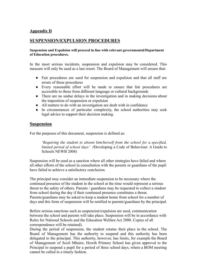#### **Appendix D**

#### **SUSPENSION/EXPULSION PROCEDURES**

#### **Suspension and Expulsion will proceed in line with relevant governmental/Department of Education procedures.**

In the most serious incidents, suspension and expulsion may be considered. This measure will only be used as a last resort. The Board of Management will ensure that:

- Fair procedures are used for suspension and expulsion and that all staff are aware of these procedures
- Every reasonable effort will be made to ensure that fair procedures are accessible to those from different language or cultural backgrounds
- There are no undue delays in the investigation and in making decisions about the imposition of suspension or expulsion
- All matters to do with an investigation are dealt with in confidence
- In circumstances of particular complexity, the school authorities may seek legal advice to support their decision making.

#### **Suspension**

For the purposes of this document, suspension is defined as:

*'Requiring the student to absent him/herself from the school for a specified, limited period of school days' (*Developing a Code of Behaviour: A Guide to Schools NEWB 2008)

Suspension will be used as a sanction where all other strategies have failed and where all other efforts of the school in consultation with the parents or guardians of the pupil have failed to achieve a satisfactory conclusion.

The principal may consider an immediate suspension to be necessary where the continued presence of the student in the school at the time would represent a serious threat to the safety of others. Parents / guardians may be requested to collect a student from school during the day if their continued presence constitutes a threat. Parents/guardians may be asked to keep a student home from school for a number of days and this form of suspension will be notified to parents/guardians by the principal.

Before serious sanctions such as suspension/expulsion are used, communication between the school and parents will take place. Suspension will be in accordance with Rules for National Schools and the Education Welfare Act 2000. Copies of all correspondence will be retained).

During the period of suspension, the student retains their place in the school. The Board of Management has the authority to suspend and this authority has been delegated to the principal. This authority, however, has limits, for example the Board of Management of Scoil Mhuire, Howth Primary School has given approval to the Principal to suspend a pupil for a period of three school days, where a BOM meeting cannot be called in a timely fashion.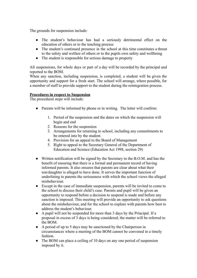The grounds for suspension include:

- The student's behaviour has had a seriously detrimental effect on the education of others or to the teaching process
- The student's continued presence in the school at this time constitutes a threat to the safety and welfare of others or to the pupils own safety and wellbeing
- The student is responsible for serious damage to property

All suspensions, for whole days or part of a day will be recorded by the principal and reported to the BOM.

When any sanction, including suspension, is completed, a student will be given the opportunity and support for a fresh start. The school will arrange, where possible, for a member of staff to provide support to the student during the reintegration process.

#### **Procedures in respect to Suspension**

The procedural steps will include:

- Parents will be informed by phone or in writing. The letter will confirm:
	- 1. Period of the suspension and the dates on which the suspension will begin and end
	- 2. Reasons for the suspension
	- 3. Arrangements for returning to school, including any commitments to be entered into by the student.
	- 4. Provision for an appeal to the Board of Management
	- 5. Right to appeal to the Secretary General of the Department of Education and Science (Education Act 1998, section 29)
- Written notification will be signed by the Secretary to the B.O.M. and has the benefit of ensuring that there is a formal and permanent record of having informed parents. It also ensures that parents are clear about what their son/daughter is alleged to have done. It serves the important function of underlining to parents the seriousness with which the school views the alleged misbehaviour.
- Except in the case of immediate suspension, parents will be invited to come to the school to discuss their child's case. Parents and pupil will be given an opportunity to respond before a decision to suspend is made and before any sanction is imposed. This meeting will provide an opportunity to ask questions about the misbehaviour, and for the school to explore with parents how best to address the student's behaviour.
- A pupil will not be suspended for more than 3 days by the Principal. If a proposal in excess of 3 days is being considered, the matter will be referred to the BOM.
- A period of up to 5 days may be sanctioned by the Chairperson in circumstances where a meeting of the BOM cannot be convened in a timely fashion.
- The BOM can place a ceiling of 10 days on any one period of suspension imposed by it.